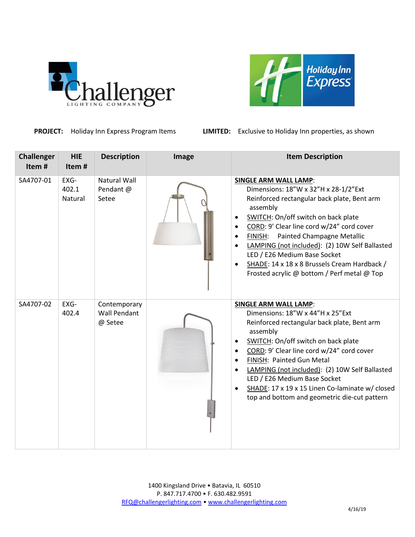



**PROJECT:** Holiday Inn Express Program Items **LIMITED:** Exclusive to Holiday Inn properties, as shown

| <b>Challenger</b><br>Item# | <b>HIE</b><br>Item#      | <b>Description</b>                             | Image | <b>Item Description</b>                                                                                                                                                                                                                                                                                                                                                                                                                                                               |
|----------------------------|--------------------------|------------------------------------------------|-------|---------------------------------------------------------------------------------------------------------------------------------------------------------------------------------------------------------------------------------------------------------------------------------------------------------------------------------------------------------------------------------------------------------------------------------------------------------------------------------------|
| SA4707-01                  | EXG-<br>402.1<br>Natural | <b>Natural Wall</b><br>Pendant @<br>Setee      |       | <b>SINGLE ARM WALL LAMP:</b><br>Dimensions: 18"W x 32"H x 28-1/2"Ext<br>Reinforced rectangular back plate, Bent arm<br>assembly<br>SWITCH: On/off switch on back plate<br>$\bullet$<br>CORD: 9' Clear line cord w/24" cord cover<br>Painted Champagne Metallic<br>FINISH:<br>$\bullet$<br>LAMPING (not included): (2) 10W Self Ballasted<br>$\bullet$<br>LED / E26 Medium Base Socket<br>SHADE: 14 x 18 x 8 Brussels Cream Hardback /<br>Frosted acrylic @ bottom / Perf metal @ Top  |
| SA4707-02                  | EXG-<br>402.4            | Contemporary<br><b>Wall Pendant</b><br>@ Setee |       | <b>SINGLE ARM WALL LAMP:</b><br>Dimensions: 18"W x 44"H x 25"Ext<br>Reinforced rectangular back plate, Bent arm<br>assembly<br>SWITCH: On/off switch on back plate<br>$\bullet$<br>CORD: 9' Clear line cord w/24" cord cover<br>$\bullet$<br>FINISH: Painted Gun Metal<br>$\bullet$<br>LAMPING (not included): (2) 10W Self Ballasted<br>$\bullet$<br>LED / E26 Medium Base Socket<br>SHADE: 17 x 19 x 15 Linen Co-laminate w/ closed<br>top and bottom and geometric die-cut pattern |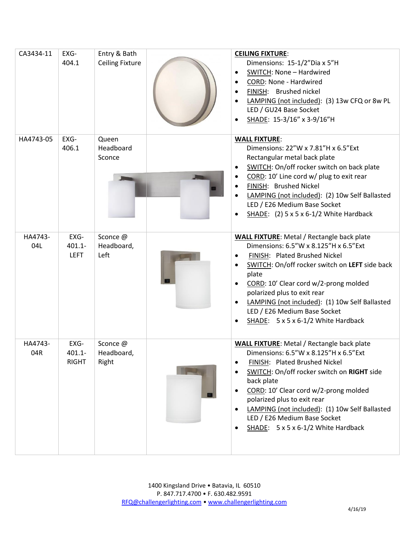| CA3434-11      | EXG-<br>404.1                     | Entry & Bath<br><b>Ceiling Fixture</b> | <b>CEILING FIXTURE:</b><br>Dimensions: 15-1/2"Dia x 5"H<br>SWITCH: None - Hardwired<br>CORD: None - Hardwired<br>$\bullet$<br>FINISH: Brushed nickel<br>LAMPING (not included): (3) 13w CFQ or 8w PL<br>LED / GU24 Base Socket<br>SHADE: 15-3/16" x 3-9/16"H                                                                                                                                           |
|----------------|-----------------------------------|----------------------------------------|--------------------------------------------------------------------------------------------------------------------------------------------------------------------------------------------------------------------------------------------------------------------------------------------------------------------------------------------------------------------------------------------------------|
| HA4743-05      | EXG-<br>406.1                     | Queen<br>Headboard<br>Sconce           | <b>WALL FIXTURE:</b><br>Dimensions: 22"W x 7.81"H x 6.5"Ext<br>Rectangular metal back plate<br>SWITCH: On/off rocker switch on back plate<br>CORD: 10' Line cord w/ plug to exit rear<br>FINISH: Brushed Nickel<br>LAMPING (not included): (2) 10w Self Ballasted<br>LED / E26 Medium Base Socket<br>SHADE: $(2)$ 5 x 5 x 6-1/2 White Hardback                                                         |
| HA4743-<br>04L | EXG-<br>$401.1 -$<br><b>LEFT</b>  | Sconce @<br>Headboard,<br>Left         | <b>WALL FIXTURE:</b> Metal / Rectangle back plate<br>Dimensions: 6.5"W x 8.125"H x 6.5"Ext<br>FINISH: Plated Brushed Nickel<br>SWITCH: On/off rocker switch on LEFT side back<br>plate<br>CORD: 10' Clear cord w/2-prong molded<br>polarized plus to exit rear<br>LAMPING (not included): (1) 10w Self Ballasted<br>$\bullet$<br>LED / E26 Medium Base Socket<br>SHADE: 5 x 5 x 6-1/2 White Hardback   |
| HA4743-<br>04R | EXG-<br>$401.1 -$<br><b>RIGHT</b> | Sconce @<br>Headboard,<br>Right        | <b>WALL FIXTURE:</b> Metal / Rectangle back plate<br>Dimensions: 6.5"W x 8.125"H x 6.5"Ext<br>FINISH: Plated Brushed Nickel<br>SWITCH: On/off rocker switch on RIGHT side<br>back plate<br>CORD: 10' Clear cord w/2-prong molded<br>polarized plus to exit rear<br>LAMPING (not included): (1) 10w Self Ballasted<br>LED / E26 Medium Base Socket<br>SHADE: $5 \times 5 \times 6 - 1/2$ White Hardback |